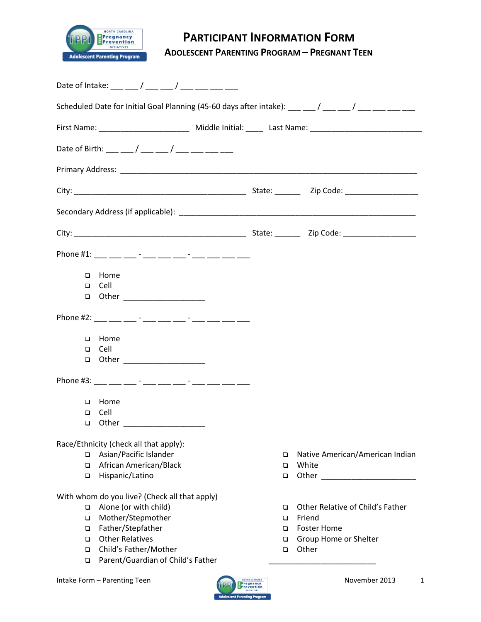

# **PARTICIPANT INFORMATION FORM**

**ADOLESCENT PARENTING PROGRAM – PREGNANT TEEN**

| Scheduled Date for Initial Goal Planning (45-60 days after intake): $\frac{1}{1}$ $\frac{1}{1}$ $\frac{1}{1}$ $\frac{1}{1}$ $\frac{1}{1}$ $\frac{1}{1}$ $\frac{1}{1}$ $\frac{1}{1}$ $\frac{1}{1}$ $\frac{1}{1}$ $\frac{1}{1}$ $\frac{1}{1}$ $\frac{1}{1}$ $\frac{1}{1}$ $\frac{1}{1}$ $\frac$ |                       |                                                                                                                        |
|-----------------------------------------------------------------------------------------------------------------------------------------------------------------------------------------------------------------------------------------------------------------------------------------------|-----------------------|------------------------------------------------------------------------------------------------------------------------|
| First Name: ____________________________ Middle Initial: ______ Last Name: _________________________                                                                                                                                                                                          |                       |                                                                                                                        |
|                                                                                                                                                                                                                                                                                               |                       |                                                                                                                        |
|                                                                                                                                                                                                                                                                                               |                       |                                                                                                                        |
|                                                                                                                                                                                                                                                                                               |                       |                                                                                                                        |
|                                                                                                                                                                                                                                                                                               |                       |                                                                                                                        |
|                                                                                                                                                                                                                                                                                               |                       |                                                                                                                        |
| Phone #1: ___ __ __ -_ - ___ ___ -__ -__ -__ ___ ___ ___ ___                                                                                                                                                                                                                                  |                       |                                                                                                                        |
| Home<br>$\Box$                                                                                                                                                                                                                                                                                |                       |                                                                                                                        |
| $\Box$ Cell                                                                                                                                                                                                                                                                                   |                       |                                                                                                                        |
| □ Other __________________                                                                                                                                                                                                                                                                    |                       |                                                                                                                        |
| Phone #2: ___ ___ ___ - ___ ___ ___ - ___ -__ ___ ___ ___ ___ ___                                                                                                                                                                                                                             |                       |                                                                                                                        |
| Home<br>$\Box$                                                                                                                                                                                                                                                                                |                       |                                                                                                                        |
| $\Box$ Cell                                                                                                                                                                                                                                                                                   |                       |                                                                                                                        |
| □ Other ____________________                                                                                                                                                                                                                                                                  |                       |                                                                                                                        |
| Phone #3: ___ ___ ___ - ___ ___ ___ - ___ -__ ___ ___ ___ ___ ___                                                                                                                                                                                                                             |                       |                                                                                                                        |
| Home<br>$\Box$                                                                                                                                                                                                                                                                                |                       |                                                                                                                        |
| Cell<br>$\Box$                                                                                                                                                                                                                                                                                |                       |                                                                                                                        |
| $\Box$ Other and $\Box$                                                                                                                                                                                                                                                                       |                       |                                                                                                                        |
| Race/Ethnicity (check all that apply):                                                                                                                                                                                                                                                        |                       |                                                                                                                        |
| Asian/Pacific Islander<br>$\Box$                                                                                                                                                                                                                                                              | $\Box$                | Native American/American Indian                                                                                        |
| African American/Black<br>$\Box$<br>Hispanic/Latino<br>$\Box$                                                                                                                                                                                                                                 | ▫<br>$\Box$           | White<br>Other and the contract of the contract of the contract of the contract of the contract of the contract of the |
|                                                                                                                                                                                                                                                                                               |                       |                                                                                                                        |
| With whom do you live? (Check all that apply)                                                                                                                                                                                                                                                 |                       |                                                                                                                        |
| Alone (or with child)<br>$\Box$                                                                                                                                                                                                                                                               | □                     | Other Relative of Child's Father                                                                                       |
| Mother/Stepmother<br>$\Box$                                                                                                                                                                                                                                                                   | $\Box$                | Friend                                                                                                                 |
| Father/Stepfather<br>$\Box$<br><b>Other Relatives</b><br>$\Box$                                                                                                                                                                                                                               | □<br>□                | <b>Foster Home</b><br>Group Home or Shelter                                                                            |
| Child's Father/Mother<br>$\Box$                                                                                                                                                                                                                                                               | $\Box$                | Other                                                                                                                  |
| Parent/Guardian of Child's Father<br>$\Box$                                                                                                                                                                                                                                                   |                       |                                                                                                                        |
| Intake Form - Parenting Teen                                                                                                                                                                                                                                                                  | <b>NORTH CAROLINA</b> | November 2013<br>1                                                                                                     |

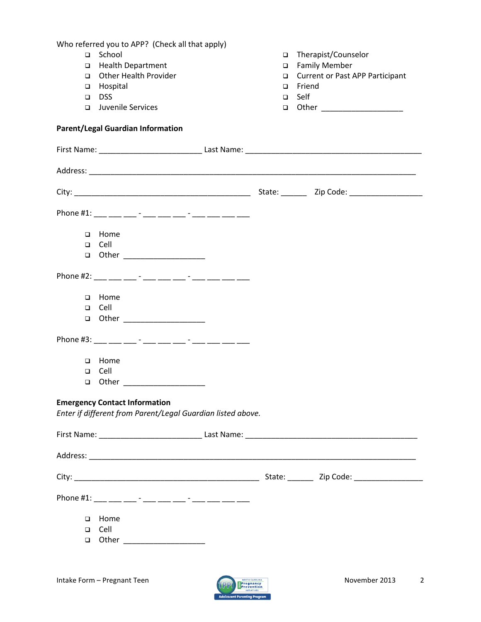Who referred you to APP? (Check all that apply) □ School Health Department Other Health Provider **D** Hospital DSS<sub>D</sub> **Juvenile Services**  Therapist/Counselor □ Family Member □ Current or Past APP Participant **D** Friend Self **a** Other \_\_\_\_\_\_\_\_\_\_\_\_\_\_\_\_\_\_\_\_ **Parent/Legal Guardian Information** First Name: \_\_\_\_\_\_\_\_\_\_\_\_\_\_\_\_\_\_\_\_\_\_\_\_ Last Name: \_\_\_\_\_\_\_\_\_\_\_\_\_\_\_\_\_\_\_\_\_\_\_\_\_\_\_\_\_\_\_\_\_\_\_\_\_\_\_\_\_ Address: \_\_\_\_\_\_\_\_\_\_\_\_\_\_\_\_\_\_\_\_\_\_\_\_\_\_\_\_\_\_\_\_\_\_\_\_\_\_\_\_\_\_\_\_\_\_\_\_\_\_\_\_\_\_\_\_\_\_\_\_\_\_\_\_\_\_\_\_\_\_\_\_\_\_\_\_ City: \_\_\_\_\_\_\_\_\_\_\_\_\_\_\_\_\_\_\_\_\_\_\_\_\_\_\_\_\_\_\_\_\_\_\_\_\_\_\_\_\_ State: \_\_\_\_\_\_ Zip Code: \_\_\_\_\_\_\_\_\_\_\_\_\_\_\_\_\_ Phone #1: \_\_\_ \_\_\_ \_\_\_ - \_\_\_ \_\_\_ -\_\_ - \_\_\_ -\_\_ \_\_\_ \_\_\_ \_\_\_ □ Home Cell  $\Box$  Other  $\Box$ Phone #2: \_\_\_\_ \_\_\_ \_\_\_ - \_\_\_ \_\_\_ \_\_ - \_\_\_ -\_\_ \_\_\_ \_\_\_ \_\_\_ D Home Cell **a** Other \_\_\_\_\_\_\_\_\_\_\_\_\_\_\_\_\_\_\_\_\_ Phone #3: \_\_\_ \_\_\_ \_\_\_ - \_\_\_ \_\_\_ \_\_\_ - \_\_\_ -\_\_ \_\_\_ \_\_\_ \_\_\_ \_\_\_ **D** Home Cell **a** Other \_\_\_\_\_\_\_\_\_\_\_\_\_\_\_\_\_\_\_\_ **Emergency Contact Information** *Enter if different from Parent/Legal Guardian listed above.* First Name: \_\_\_\_\_\_\_\_\_\_\_\_\_\_\_\_\_\_\_\_\_\_\_\_ Last Name: \_\_\_\_\_\_\_\_\_\_\_\_\_\_\_\_\_\_\_\_\_\_\_\_\_\_\_\_\_\_\_\_\_\_\_\_\_\_\_\_ Address: \_\_\_\_\_\_\_\_\_\_\_\_\_\_\_\_\_\_\_\_\_\_\_\_\_\_\_\_\_\_\_\_\_\_\_\_\_\_\_\_\_\_\_\_\_\_\_\_\_\_\_\_\_\_\_\_\_\_\_\_\_\_\_\_\_\_\_\_\_\_\_\_\_\_\_\_ City: \_\_\_\_\_\_\_\_\_\_\_\_\_\_\_\_\_\_\_\_\_\_\_\_\_\_\_\_\_\_\_\_\_\_\_\_\_\_\_\_\_\_\_ State: \_\_\_\_\_\_ Zip Code: \_\_\_\_\_\_\_\_\_\_\_\_\_\_\_\_ Phone #1: \_\_\_ \_\_\_ \_\_\_ - \_\_\_ \_\_\_ \_\_ - \_\_\_ -\_\_ \_\_\_ \_\_\_ \_\_\_ \_\_\_ D Home Cell **a** Other \_\_\_\_\_\_\_\_\_\_\_\_\_\_\_\_\_\_\_\_

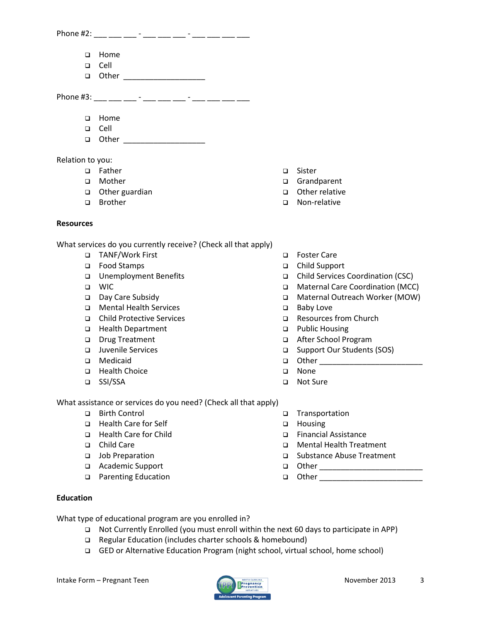| Phone #2: |             |  |  |  |  |
|-----------|-------------|--|--|--|--|
|           | □ Home      |  |  |  |  |
|           | $\Box$ Cell |  |  |  |  |
|           | □ Other     |  |  |  |  |
| Phone #3: |             |  |  |  |  |

- **D** Home
- Cell
- **a** Other \_\_\_\_\_\_\_\_\_\_\_\_\_\_\_\_\_\_\_\_\_

Relation to you:

- □ Father
- Mother
- □ Other guardian
- □ Brother
- **Resources**

What services do you currently receive? (Check all that apply)

- TANF/Work First
- Food Stamps
- Unemployment Benefits
- WIC
- Day Care Subsidy
- Mental Health Services
- Child Protective Services
- □ Health Department
- Drug Treatment
- Juvenile Services
- Medicaid
- **Health Choice**
- SSI/SSA

What assistance or services do you need? (Check all that apply)

- □ Birth Control
- □ Health Care for Self
- □ Health Care for Child
- □ Child Care
- Job Preparation
- Academic Support
- □ Parenting Education
- □ Sister
- Grandparent
- Other relative
- Non-relative
- □ Foster Care
- Child Support
- Child Services Coordination (CSC)
- Maternal Care Coordination (MCC)
- □ Maternal Outreach Worker (MOW)
- □ Baby Love
- Resources from Church
- □ Public Housing
- After School Program
- □ Support Our Students (SOS)
- □ Other \_\_\_\_\_\_\_\_\_\_\_\_\_\_\_\_\_\_\_\_\_
- o None
- □ Not Sure
- Transportation
- **D** Housing
- Financial Assistance
- Mental Health Treatment
- □ Substance Abuse Treatment
- **Q** Other \_\_\_\_\_\_\_\_\_\_\_\_\_\_\_\_\_\_\_\_\_\_\_\_\_\_\_\_
- Other \_\_\_\_\_\_\_\_\_\_\_\_\_\_\_\_\_\_\_\_\_\_\_\_

#### **Education**

What type of educational program are you enrolled in?

- Not Currently Enrolled (you must enroll within the next 60 days to participate in APP)
- Regular Education (includes charter schools & homebound)
- GED or Alternative Education Program (night school, virtual school, home school)

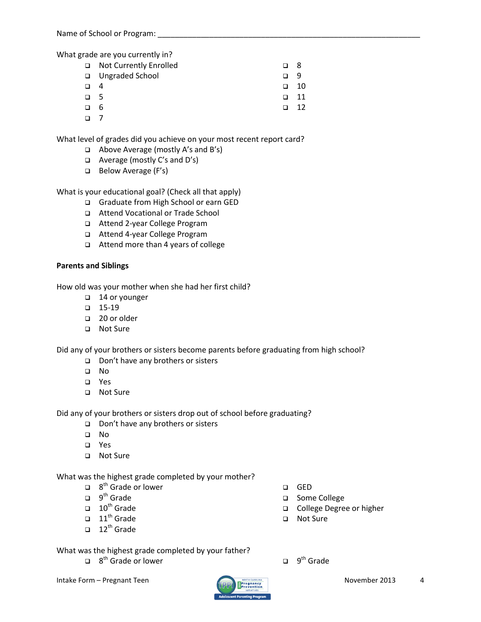What grade are you currently in?

|          | □ Not Currently Enrolled | n. | - 8  |
|----------|--------------------------|----|------|
|          | □ Ungraded School        | ⊓  | - Q  |
| $\Box$ 4 |                          | n  | 10   |
| $\Box$ 5 |                          |    | - 11 |
| $\Box$ 6 |                          | n. | -12  |
| □        |                          |    |      |

What level of grades did you achieve on your most recent report card?

- Above Average (mostly A's and B's)
- Average (mostly C's and D's)
- Below Average (F's)

What is your educational goal? (Check all that apply)

- Graduate from High School or earn GED
- Attend Vocational or Trade School
- Attend 2-year College Program
- Attend 4-year College Program
- Attend more than 4 years of college

## **Parents and Siblings**

How old was your mother when she had her first child?

- □ 14 or younger
- $-15-19$
- □ 20 or older
- □ Not Sure

Did any of your brothers or sisters become parents before graduating from high school?

- □ Don't have any brothers or sisters
- No
- Yes
- □ Not Sure

Did any of your brothers or sisters drop out of school before graduating?

- □ Don't have any brothers or sisters
- No
- Yes
- □ Not Sure

What was the highest grade completed by your mother?

- $\Box$  8<sup>th</sup> Grade or lower
- $\Box$  9<sup>th</sup> Grade
- $\Box$  10<sup>th</sup> Grade
- $\Box$  11<sup>th</sup> Grade
- $\Box$  12<sup>th</sup> Grade
- GED
- □ Some College
- College Degree or higher
- Not Sure

What was the highest grade completed by your father?

- $\Box$  8<sup>th</sup> Grade or lower  $\Box$  9
- $\Box$  9<sup>th</sup> Grade

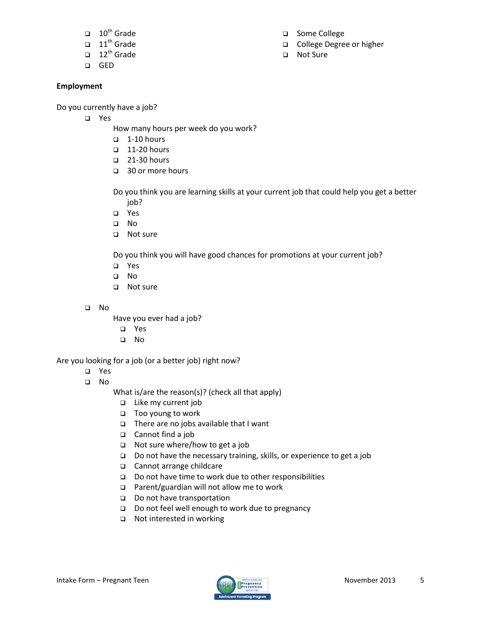- $\Box$  10<sup>th</sup> Grade
- $\Box$  11<sup>th</sup> Grade
- $\Box$  12<sup>th</sup> Grade
- GED

## **Employment**

Do you currently have a job?

- Yes
	- How many hours per week do you work?
	- $\Box$  1-10 hours
	- $\Box$  11-20 hours
	- □ 21-30 hours
	- □ 30 or more hours

Do you think you are learning skills at your current job that could help you get a better job?

- Yes
- No
- □ Not sure

Do you think you will have good chances for promotions at your current job?

- Yes
- No
- □ Not sure
- No
- Have you ever had a job?
	- Yes
	- No

Are you looking for a job (or a better job) right now?

- Yes
- No

What is/are the reason(s)? (check all that apply)

- Like my current job
- □ Too young to work
- $\Box$  There are no jobs available that I want
- Cannot find a job
- $\Box$  Not sure where/how to get a job
- □ Do not have the necessary training, skills, or experience to get a job
- Cannot arrange childcare
- Do not have time to work due to other responsibilities
- □ Parent/guardian will not allow me to work
- Do not have transportation
- Do not feel well enough to work due to pregnancy
- □ Not interested in working
- 



- □ Some College
- College Degree or higher
- □ Not Sure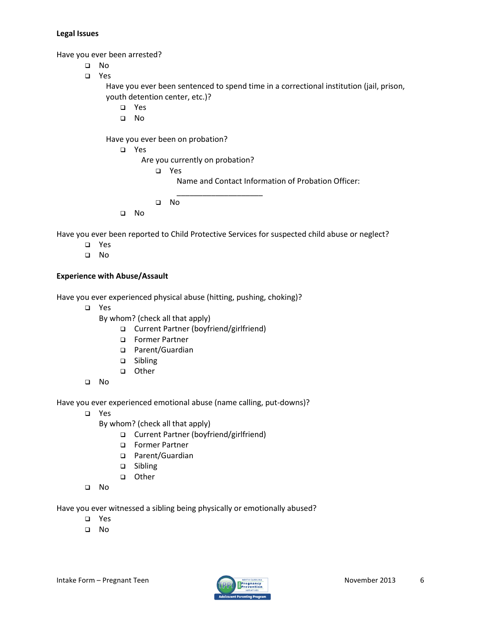#### **Legal Issues**

Have you ever been arrested?

- No
- Yes

Have you ever been sentenced to spend time in a correctional institution (jail, prison, youth detention center, etc.)?

- Yes
- No

Have you ever been on probation?

Yes

Are you currently on probation?

Yes

Name and Contact Information of Probation Officer:

- No
- No

Have you ever been reported to Child Protective Services for suspected child abuse or neglect?

\_\_\_\_\_\_\_\_\_\_\_\_\_\_\_\_\_\_\_\_

- Yes
- No

### **Experience with Abuse/Assault**

Have you ever experienced physical abuse (hitting, pushing, choking)?

Yes

By whom? (check all that apply)

- □ Current Partner (boyfriend/girlfriend)
- Former Partner
- □ Parent/Guardian
- □ Sibling
- other
- No

Have you ever experienced emotional abuse (name calling, put-downs)?

- Yes
	- By whom? (check all that apply)
		- Current Partner (boyfriend/girlfriend)
		- Former Partner
		- □ Parent/Guardian
		- □ Sibling
		- other
- No

Have you ever witnessed a sibling being physically or emotionally abused?

- Yes
- $\Box$  No

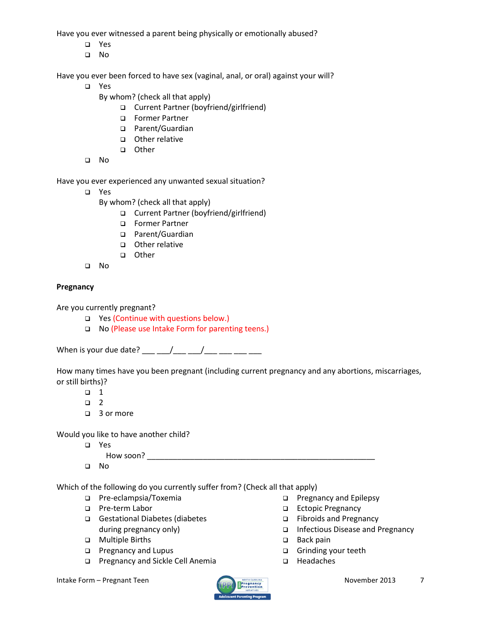Have you ever witnessed a parent being physically or emotionally abused?

- Yes
- No

Have you ever been forced to have sex (vaginal, anal, or oral) against your will?

- Yes
	- By whom? (check all that apply)
		- Current Partner (boyfriend/girlfriend)
		- Former Partner
		- □ Parent/Guardian
		- □ Other relative
		- other
- No

Have you ever experienced any unwanted sexual situation?

- Yes
	- By whom? (check all that apply)
		- □ Current Partner (boyfriend/girlfriend)
		- Former Partner
		- □ Parent/Guardian
		- Other relative
		- other
- No

## **Pregnancy**

Are you currently pregnant?

- □ Yes (Continue with questions below.)
- □ No (Please use Intake Form for parenting teens.)

When is your due date? \_\_\_ \_\_/\_\_\_ \_\_/\_\_\_ \_\_\_ \_\_\_ \_\_\_

How many times have you been pregnant (including current pregnancy and any abortions, miscarriages, or still births)?

- $\Box$  1
- $\Box$  2
- □ 3 or more

Would you like to have another child?

Yes

How soon? \_\_\_\_\_\_\_\_\_\_\_\_\_\_\_\_\_\_\_\_\_\_\_\_\_\_\_\_\_\_\_\_\_\_\_\_\_\_\_\_\_\_\_\_\_\_\_\_\_\_\_\_\_

No

Which of the following do you currently suffer from? (Check all that apply)

- Pre-eclampsia/Toxemia
- □ Pre-term Labor
- Gestational Diabetes (diabetes during pregnancy only)
- Multiple Births
- **D** Pregnancy and Lupus
- □ Pregnancy and Sickle Cell Anemia
- Infectious Disease and Pregnancy □ Back pain
	- Grinding your teeth

**D** Pregnancy and Epilepsy □ Ectopic Pregnancy Fibroids and Pregnancy

□ Headaches

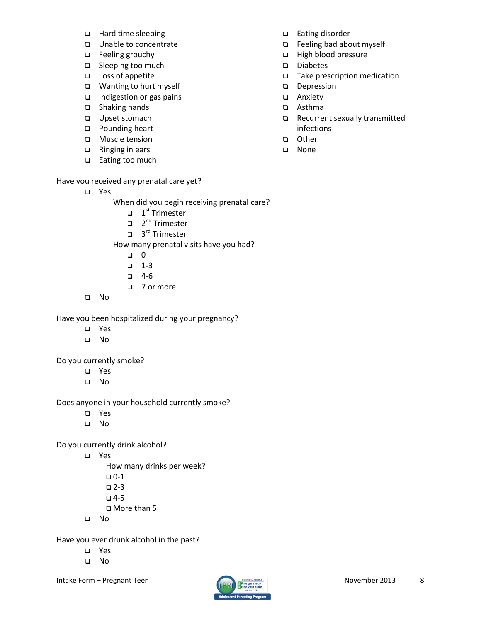- □ Hard time sleeping
- □ Unable to concentrate
- □ Feeling grouchy
- □ Sleeping too much
- □ Loss of appetite
- □ Wanting to hurt myself
- $\Box$  Indigestion or gas pains
- □ Shaking hands
- □ Upset stomach
- □ Pounding heart
- **D** Muscle tension
- □ Ringing in ears
- □ Eating too much

## Have you received any prenatal care yet?

Yes

When did you begin receiving prenatal care?

- $\Box$  1<sup>st</sup> Trimester
- □ 2<sup>nd</sup> Trimester
- □ 3<sup>rd</sup> Trimester

How many prenatal visits have you had?

- $\begin{matrix} \Box & 0 \end{matrix}$
- $-1-3$
- $-4-6$
- □ 7 or more
- No

Have you been hospitalized during your pregnancy?

- Yes
- No

Do you currently smoke?

- Yes
- No

Does anyone in your household currently smoke?

- Yes
- No

Do you currently drink alcohol?

Yes

How many drinks per week?

- $\n **D**-1$
- $\Box$  2-3
- $-4-5$
- More than 5
- No

Have you ever drunk alcohol in the past?

- Yes
- No

Intake Form – Pregnant Teen November 2013 8



## □ Eating disorder

- Feeling bad about myself
- High blood pressure
- Diabetes
- □ Take prescription medication
- Depression
- □ Anxiety
- Asthma
- Recurrent sexually transmitted infections
- $\Box$  Other  $\Box$
- □ None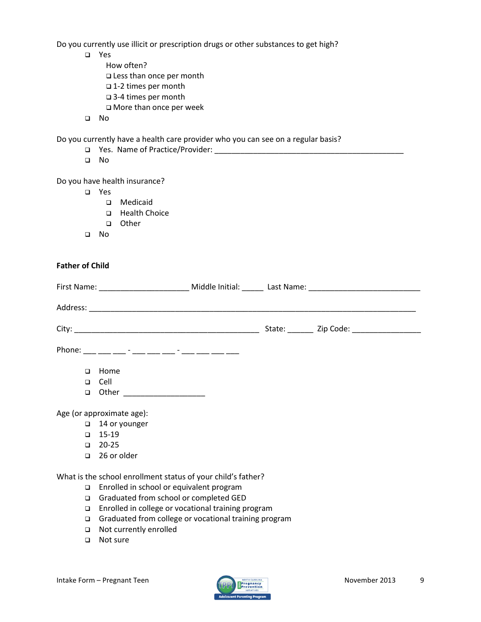Do you currently use illicit or prescription drugs or other substances to get high?

- Yes
	- How often? Less than once per month 1-2 times per month 3-4 times per month More than once per week
- No

Do you currently have a health care provider who you can see on a regular basis?

- Yes. Name of Practice/Provider: \_\_\_\_\_\_\_\_\_\_\_\_\_\_\_\_\_\_\_\_\_\_\_\_\_\_\_\_\_\_\_\_\_\_\_\_\_\_\_\_\_\_\_\_
- No

#### Do you have health insurance?

- Yes
	- Medicaid
	- **Health Choice**
	- other
- No

#### **Father of Child**

|  |        |                                                               |  | State: Zip Code: |
|--|--------|---------------------------------------------------------------|--|------------------|
|  |        | Phone: ___ ___ ___ - ___ - ___ __ - ___ - ___ -__ ___ ___ ___ |  |                  |
|  | $\Box$ | Home                                                          |  |                  |
|  | $\Box$ | Cell                                                          |  |                  |
|  | $\Box$ | Other _______________________                                 |  |                  |
|  |        | Age (or approximate age):                                     |  |                  |
|  |        | $\Box$ 14 or younger                                          |  |                  |
|  | $\Box$ | $15-19$                                                       |  |                  |
|  | $\Box$ | 20-25                                                         |  |                  |
|  | $\Box$ | 26 or older                                                   |  |                  |

What is the school enrollment status of your child's father?

- □ Enrolled in school or equivalent program
- Graduated from school or completed GED
- □ Enrolled in college or vocational training program
- Graduated from college or vocational training program
- Not currently enrolled
- □ Not sure